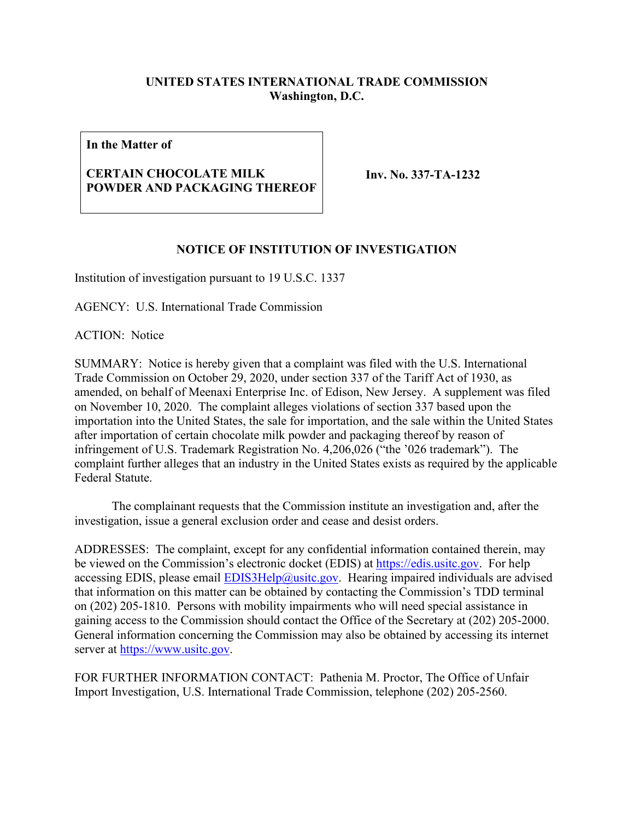## **UNITED STATES INTERNATIONAL TRADE COMMISSION Washington, D.C.**

**In the Matter of**

## **CERTAIN CHOCOLATE MILK POWDER AND PACKAGING THEREOF**

**Inv. No. 337-TA-1232**

## **NOTICE OF INSTITUTION OF INVESTIGATION**

Institution of investigation pursuant to 19 U.S.C. 1337

AGENCY: U.S. International Trade Commission

ACTION: Notice

SUMMARY: Notice is hereby given that a complaint was filed with the U.S. International Trade Commission on October 29, 2020, under section 337 of the Tariff Act of 1930, as amended, on behalf of Meenaxi Enterprise Inc. of Edison, New Jersey. A supplement was filed on November 10, 2020. The complaint alleges violations of section 337 based upon the importation into the United States, the sale for importation, and the sale within the United States after importation of certain chocolate milk powder and packaging thereof by reason of infringement of U.S. Trademark Registration No. 4,206,026 ("the '026 trademark"). The complaint further alleges that an industry in the United States exists as required by the applicable Federal Statute.

The complainant requests that the Commission institute an investigation and, after the investigation, issue a general exclusion order and cease and desist orders.

ADDRESSES: The complaint, except for any confidential information contained therein, may be viewed on the Commission's electronic docket (EDIS) at [https://edis.usitc.gov.](https://edis.usitc.gov/) For help accessing EDIS, please email  $EDIS3Help@usite.gov$ . Hearing impaired individuals are advised that information on this matter can be obtained by contacting the Commission's TDD terminal on (202) 205-1810. Persons with mobility impairments who will need special assistance in gaining access to the Commission should contact the Office of the Secretary at (202) 205-2000. General information concerning the Commission may also be obtained by accessing its internet server at [https://www.usitc.gov.](https://www.usitc.gov/)

FOR FURTHER INFORMATION CONTACT: Pathenia M. Proctor, The Office of Unfair Import Investigation, U.S. International Trade Commission, telephone (202) 205-2560.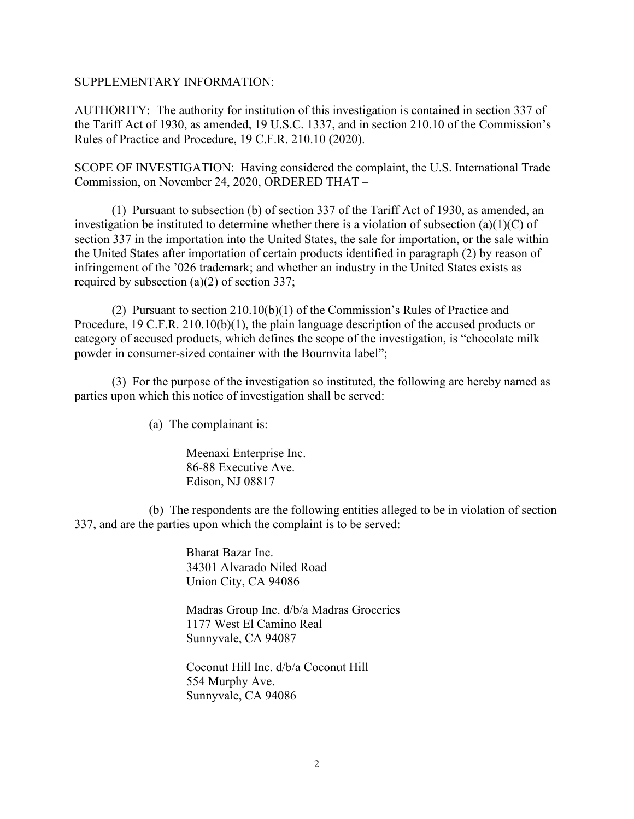## SUPPLEMENTARY INFORMATION:

AUTHORITY: The authority for institution of this investigation is contained in section 337 of the Tariff Act of 1930, as amended, 19 U.S.C. 1337, and in section 210.10 of the Commission's Rules of Practice and Procedure, 19 C.F.R. 210.10 (2020).

SCOPE OF INVESTIGATION: Having considered the complaint, the U.S. International Trade Commission, on November 24, 2020, ORDERED THAT –

(1) Pursuant to subsection (b) of section 337 of the Tariff Act of 1930, as amended, an investigation be instituted to determine whether there is a violation of subsection (a)(1)(C) of section 337 in the importation into the United States, the sale for importation, or the sale within the United States after importation of certain products identified in paragraph (2) by reason of infringement of the '026 trademark; and whether an industry in the United States exists as required by subsection (a)(2) of section 337;

(2) Pursuant to section 210.10(b)(1) of the Commission's Rules of Practice and Procedure, 19 C.F.R. 210.10(b)(1), the plain language description of the accused products or category of accused products, which defines the scope of the investigation, is "chocolate milk powder in consumer-sized container with the Bournvita label";

(3) For the purpose of the investigation so instituted, the following are hereby named as parties upon which this notice of investigation shall be served:

(a) The complainant is:

Meenaxi Enterprise Inc. 86-88 Executive Ave. Edison, NJ 08817

(b) The respondents are the following entities alleged to be in violation of section 337, and are the parties upon which the complaint is to be served:

> Bharat Bazar Inc. 34301 Alvarado Niled Road Union City, CA 94086

Madras Group Inc. d/b/a Madras Groceries 1177 West El Camino Real Sunnyvale, CA 94087

Coconut Hill Inc. d/b/a Coconut Hill 554 Murphy Ave. Sunnyvale, CA 94086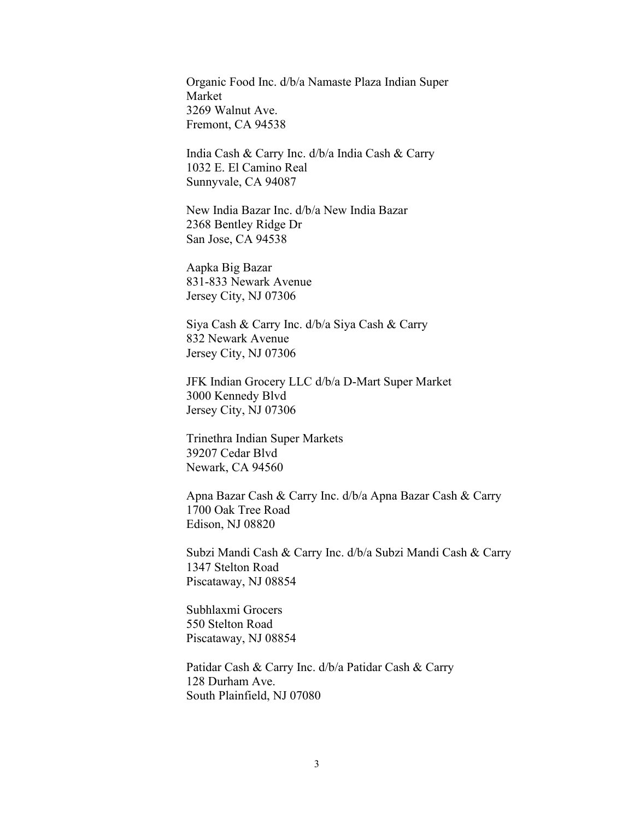Organic Food Inc. d/b/a Namaste Plaza Indian Super Market 3269 Walnut Ave. Fremont, CA 94538

India Cash & Carry Inc. d/b/a India Cash & Carry 1032 E. El Camino Real Sunnyvale, CA 94087

New India Bazar Inc. d/b/a New India Bazar 2368 Bentley Ridge Dr San Jose, CA 94538

Aapka Big Bazar 831-833 Newark Avenue Jersey City, NJ 07306

Siya Cash & Carry Inc. d/b/a Siya Cash & Carry 832 Newark Avenue Jersey City, NJ 07306

JFK Indian Grocery LLC d/b/a D-Mart Super Market 3000 Kennedy Blvd Jersey City, NJ 07306

Trinethra Indian Super Markets 39207 Cedar Blvd Newark, CA 94560

Apna Bazar Cash & Carry Inc. d/b/a Apna Bazar Cash & Carry 1700 Oak Tree Road Edison, NJ 08820

Subzi Mandi Cash & Carry Inc. d/b/a Subzi Mandi Cash & Carry 1347 Stelton Road Piscataway, NJ 08854

Subhlaxmi Grocers 550 Stelton Road Piscataway, NJ 08854

Patidar Cash & Carry Inc. d/b/a Patidar Cash & Carry 128 Durham Ave. South Plainfield, NJ 07080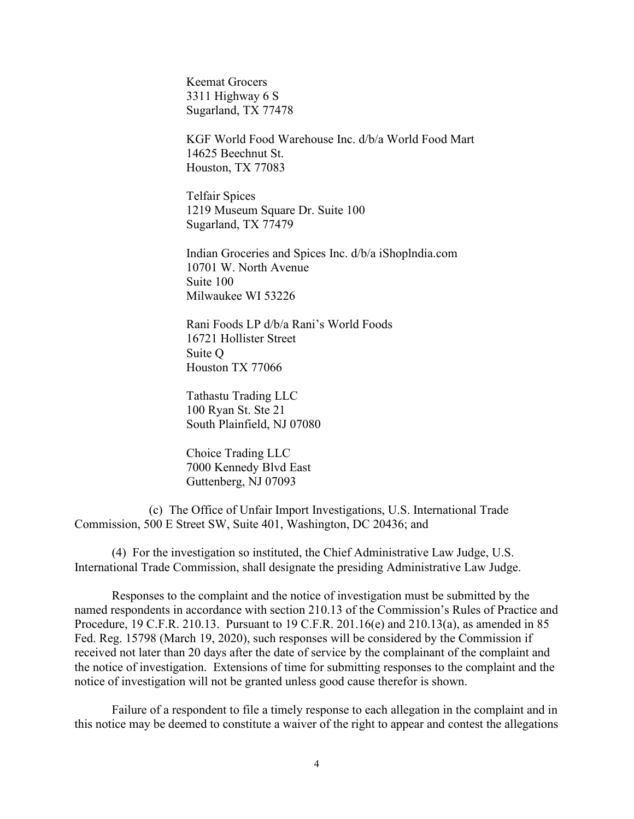Keemat Grocers 3311 Highway 6 S Sugarland, TX 77478

KGF World Food Warehouse Inc. d/b/a World Food Mart 14625 Beechnut St. Houston, TX 77083

Telfair Spices 1219 Museum Square Dr. Suite 100 Sugarland, TX 77479

Indian Groceries and Spices Inc. d/b/a iShoplndia.com 10701 W. North Avenue Suite 100 Milwaukee WI 53226

Rani Foods LP d/b/a Rani's World Foods 16721 Hollister Street Suite Q Houston TX 77066

Tathastu Trading LLC 100 Ryan St. Ste 21 South Plainfield, NJ 07080

Choice Trading LLC 7000 Kennedy Blvd East Guttenberg, NJ 07093

(c) The Office of Unfair Import Investigations, U.S. International Trade Commission, 500 E Street SW, Suite 401, Washington, DC 20436; and

(4) For the investigation so instituted, the Chief Administrative Law Judge, U.S. International Trade Commission, shall designate the presiding Administrative Law Judge.

Responses to the complaint and the notice of investigation must be submitted by the named respondents in accordance with section 210.13 of the Commission's Rules of Practice and Procedure, 19 C.F.R. 210.13. Pursuant to 19 C.F.R. 201.16(e) and 210.13(a), as amended in 85 Fed. Reg. 15798 (March 19, 2020), such responses will be considered by the Commission if received not later than 20 days after the date of service by the complainant of the complaint and the notice of investigation. Extensions of time for submitting responses to the complaint and the notice of investigation will not be granted unless good cause therefor is shown.

Failure of a respondent to file a timely response to each allegation in the complaint and in this notice may be deemed to constitute a waiver of the right to appear and contest the allegations